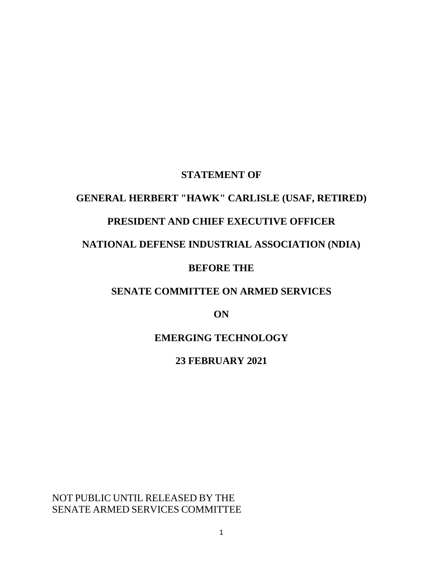## **STATEMENT OF**

# **GENERAL HERBERT "HAWK" CARLISLE (USAF, RETIRED)**

## **PRESIDENT AND CHIEF EXECUTIVE OFFICER**

## **NATIONAL DEFENSE INDUSTRIAL ASSOCIATION (NDIA)**

## **BEFORE THE**

## **SENATE COMMITTEE ON ARMED SERVICES**

**ON**

# **EMERGING TECHNOLOGY**

### **23 FEBRUARY 2021**

NOT PUBLIC UNTIL RELEASED BY THE SENATE ARMED SERVICES COMMITTEE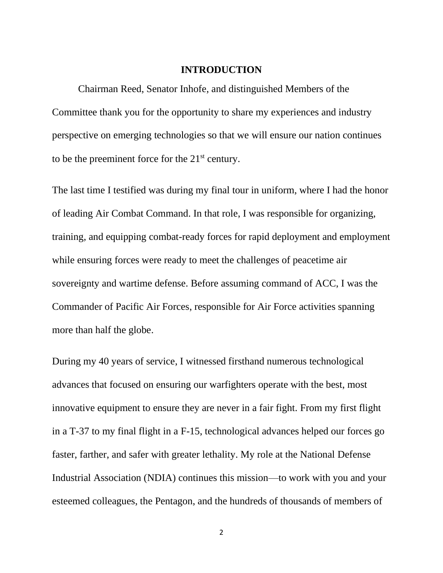#### **INTRODUCTION**

Chairman Reed, Senator Inhofe, and distinguished Members of the Committee thank you for the opportunity to share my experiences and industry perspective on emerging technologies so that we will ensure our nation continues to be the preeminent force for the  $21<sup>st</sup>$  century.

The last time I testified was during my final tour in uniform, where I had the honor of leading Air Combat Command. In that role, I was responsible for organizing, training, and equipping combat-ready forces for rapid deployment and employment while ensuring forces were ready to meet the challenges of peacetime air sovereignty and wartime defense. Before assuming command of ACC, I was the Commander of Pacific Air Forces, responsible for Air Force activities spanning more than half the globe.

During my 40 years of service, I witnessed firsthand numerous technological advances that focused on ensuring our warfighters operate with the best, most innovative equipment to ensure they are never in a fair fight. From my first flight in a T-37 to my final flight in a F-15, technological advances helped our forces go faster, farther, and safer with greater lethality. My role at the National Defense Industrial Association (NDIA) continues this mission—to work with you and your esteemed colleagues, the Pentagon, and the hundreds of thousands of members of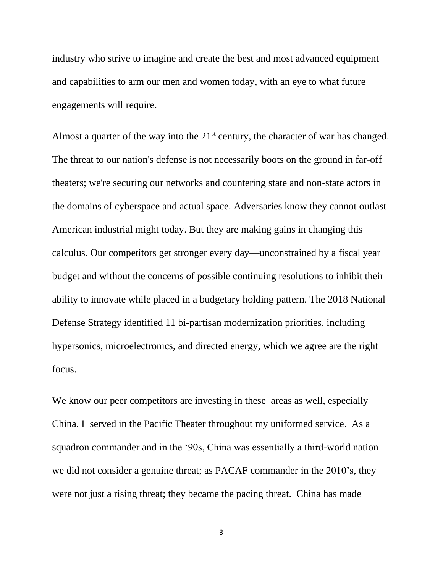industry who strive to imagine and create the best and most advanced equipment and capabilities to arm our men and women today, with an eye to what future engagements will require.

Almost a quarter of the way into the  $21<sup>st</sup>$  century, the character of war has changed. The threat to our nation's defense is not necessarily boots on the ground in far-off theaters; we're securing our networks and countering state and non-state actors in the domains of cyberspace and actual space. Adversaries know they cannot outlast American industrial might today. But they are making gains in changing this calculus. Our competitors get stronger every day—unconstrained by a fiscal year budget and without the concerns of possible continuing resolutions to inhibit their ability to innovate while placed in a budgetary holding pattern. The 2018 National Defense Strategy identified 11 bi-partisan modernization priorities, including hypersonics, microelectronics, and directed energy, which we agree are the right focus.

We know our peer competitors are investing in these areas as well, especially China. I served in the Pacific Theater throughout my uniformed service. As a squadron commander and in the '90s, China was essentially a third-world nation we did not consider a genuine threat; as PACAF commander in the 2010's, they were not just a rising threat; they became the pacing threat. China has made

3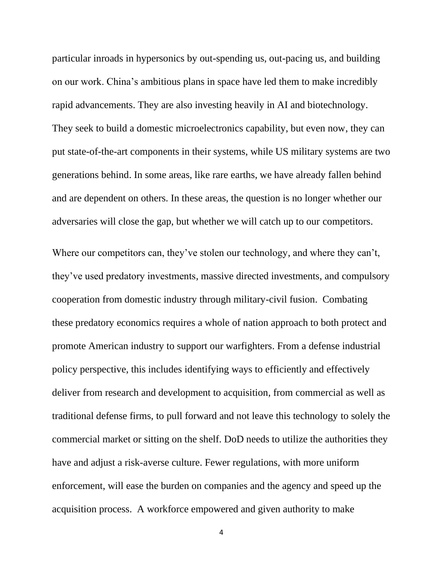particular inroads in hypersonics by out-spending us, out-pacing us, and building on our work. China's ambitious plans in space have led them to make incredibly rapid advancements. They are also investing heavily in AI and biotechnology. They seek to build a domestic microelectronics capability, but even now, they can put state-of-the-art components in their systems, while US military systems are two generations behind. In some areas, like rare earths, we have already fallen behind and are dependent on others. In these areas, the question is no longer whether our adversaries will close the gap, but whether we will catch up to our competitors.

Where our competitors can, they've stolen our technology, and where they can't, they've used predatory investments, massive directed investments, and compulsory cooperation from domestic industry through military-civil fusion. Combating these predatory economics requires a whole of nation approach to both protect and promote American industry to support our warfighters. From a defense industrial policy perspective, this includes identifying ways to efficiently and effectively deliver from research and development to acquisition, from commercial as well as traditional defense firms, to pull forward and not leave this technology to solely the commercial market or sitting on the shelf. DoD needs to utilize the authorities they have and adjust a risk-averse culture. Fewer regulations, with more uniform enforcement, will ease the burden on companies and the agency and speed up the acquisition process. A workforce empowered and given authority to make

4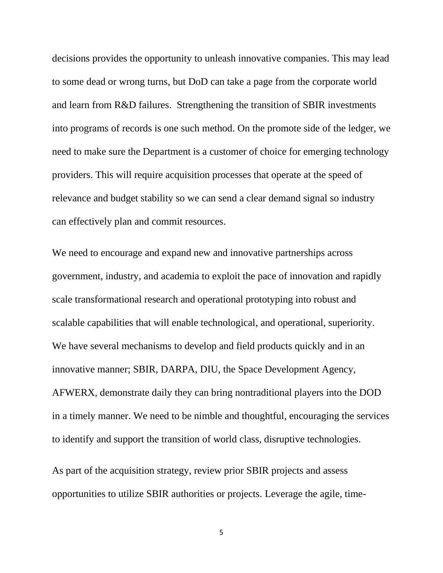decisions provides the opportunity to unleash innovative companies. This may lead to some dead or wrong turns, but DoD can take a page from the corporate world and learn from R&D failures. Strengthening the transition of SBIR investments into programs of records is one such method. On the promote side of the ledger, we need to make sure the Department is a customer of choice for emerging technology providers. This will require acquisition processes that operate at the speed of relevance and budget stability so we can send a clear demand signal so industry can effectively plan and commit resources.

We need to encourage and expand new and innovative partnerships across government, industry, and academia to exploit the pace of innovation and rapidly scale transformational research and operational prototyping into robust and scalable capabilities that will enable technological, and operational, superiority. We have several mechanisms to develop and field products quickly and in an innovative manner; SBIR, DARPA, DIU, the Space Development Agency, AFWERX, demonstrate daily they can bring nontraditional players into the DOD in a timely manner. We need to be nimble and thoughtful, encouraging the services to identify and support the transition of world class, disruptive technologies.

As part of the acquisition strategy, review prior SBIR projects and assess opportunities to utilize SBIR authorities or projects. Leverage the agile, time-

5